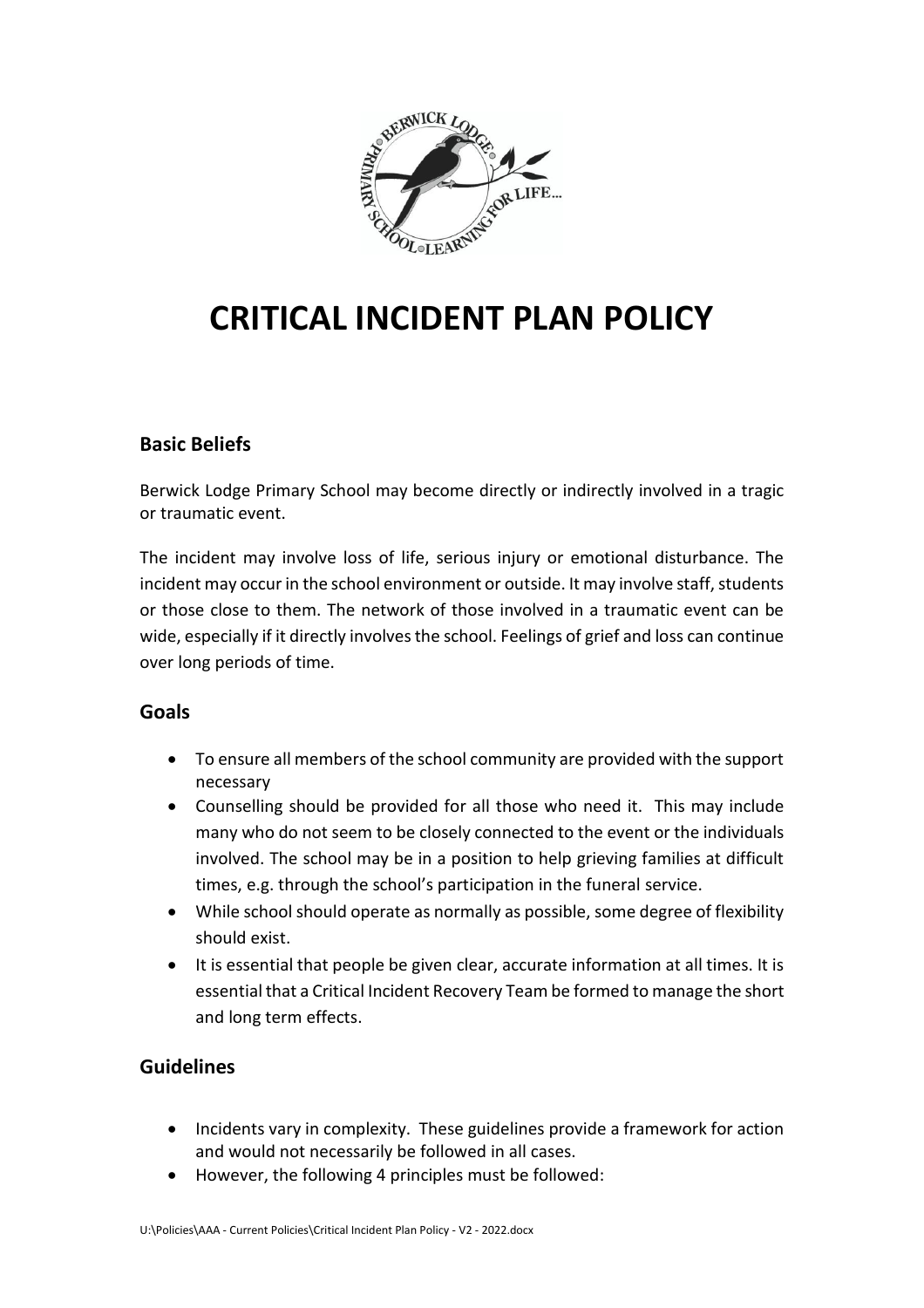

# **CRITICAL INCIDENT PLAN POLICY**

## **Basic Beliefs**

Berwick Lodge Primary School may become directly or indirectly involved in a tragic or traumatic event.

The incident may involve loss of life, serious injury or emotional disturbance. The incident may occur in the school environment or outside. It may involve staff, students or those close to them. The network of those involved in a traumatic event can be wide, especially if it directly involves the school. Feelings of grief and loss can continue over long periods of time.

## **Goals**

- To ensure all members of the school community are provided with the support necessary
- Counselling should be provided for all those who need it. This may include many who do not seem to be closely connected to the event or the individuals involved. The school may be in a position to help grieving families at difficult times, e.g. through the school's participation in the funeral service.
- While school should operate as normally as possible, some degree of flexibility should exist.
- It is essential that people be given clear, accurate information at all times. It is essential that a Critical Incident Recovery Team be formed to manage the short and long term effects.

# **Guidelines**

- Incidents vary in complexity. These guidelines provide a framework for action and would not necessarily be followed in all cases.
- However, the following 4 principles must be followed: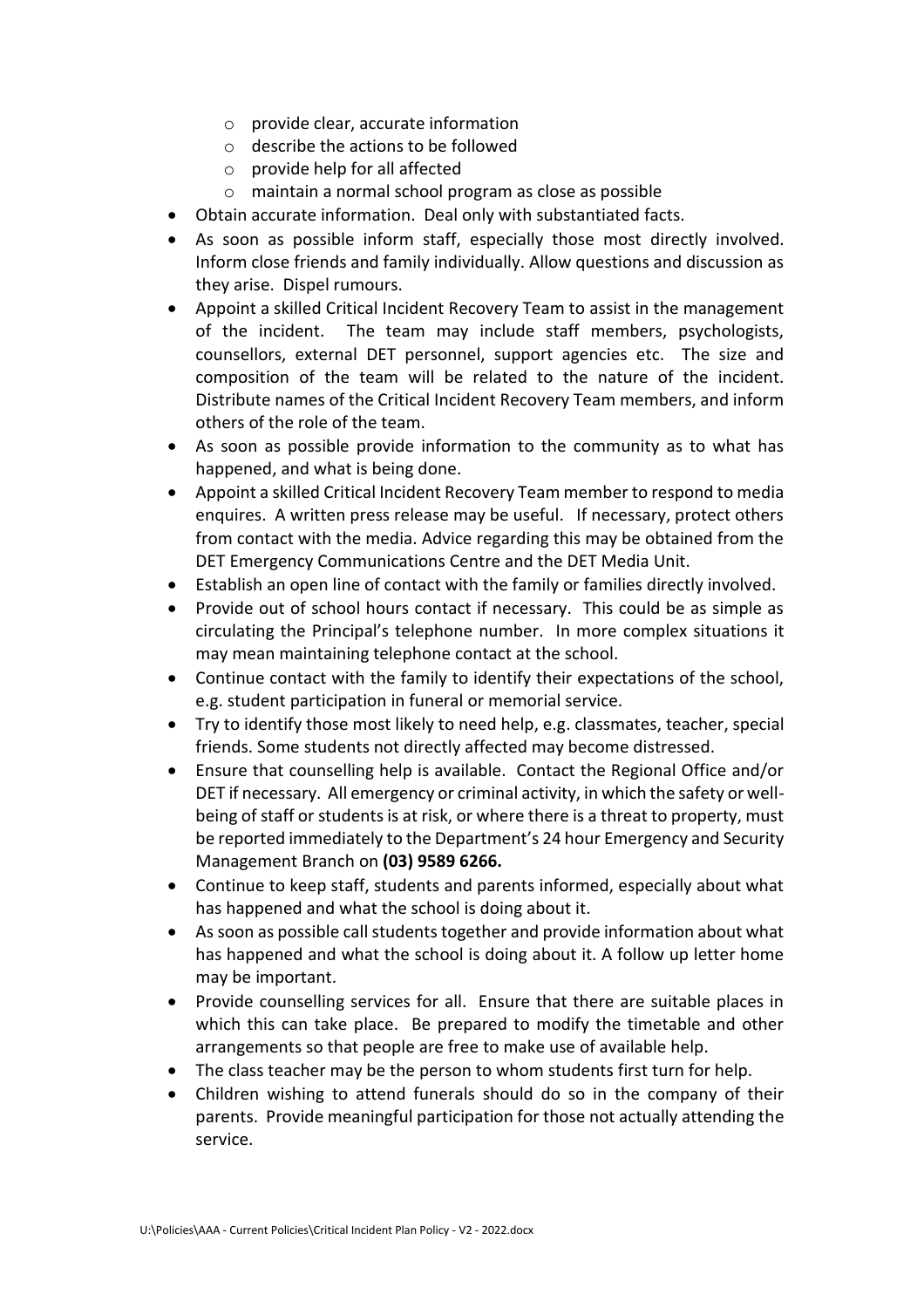- o provide clear, accurate information
- o describe the actions to be followed
- $\circ$  provide help for all affected
- o maintain a normal school program as close as possible
- Obtain accurate information. Deal only with substantiated facts.
- As soon as possible inform staff, especially those most directly involved. Inform close friends and family individually. Allow questions and discussion as they arise. Dispel rumours.
- Appoint a skilled Critical Incident Recovery Team to assist in the management of the incident. The team may include staff members, psychologists, counsellors, external DET personnel, support agencies etc. The size and composition of the team will be related to the nature of the incident. Distribute names of the Critical Incident Recovery Team members, and inform others of the role of the team.
- As soon as possible provide information to the community as to what has happened, and what is being done.
- Appoint a skilled Critical Incident Recovery Team member to respond to media enquires. A written press release may be useful. If necessary, protect others from contact with the media. Advice regarding this may be obtained from the DET Emergency Communications Centre and the DET Media Unit.
- Establish an open line of contact with the family or families directly involved.
- Provide out of school hours contact if necessary. This could be as simple as circulating the Principal's telephone number. In more complex situations it may mean maintaining telephone contact at the school.
- Continue contact with the family to identify their expectations of the school, e.g. student participation in funeral or memorial service.
- Try to identify those most likely to need help, e.g. classmates, teacher, special friends. Some students not directly affected may become distressed.
- Ensure that counselling help is available. Contact the Regional Office and/or DET if necessary. All emergency or criminal activity, in which the safety or wellbeing of staff or students is at risk, or where there is a threat to property, must be reported immediately to the Department's 24 hour Emergency and Security Management Branch on **(03) 9589 6266.**
- Continue to keep staff, students and parents informed, especially about what has happened and what the school is doing about it.
- As soon as possible call students together and provide information about what has happened and what the school is doing about it. A follow up letter home may be important.
- Provide counselling services for all. Ensure that there are suitable places in which this can take place. Be prepared to modify the timetable and other arrangements so that people are free to make use of available help.
- The class teacher may be the person to whom students first turn for help.
- Children wishing to attend funerals should do so in the company of their parents. Provide meaningful participation for those not actually attending the service.